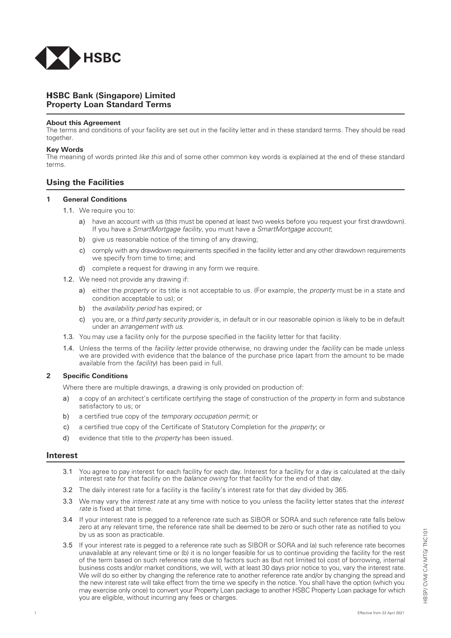

## **Property Loan Standard Terms**  H**HSBC Bank (Singapore) Limited**

### **About this Agreement**

The terms and conditions of your facility are set out in the facility letter and in these standard terms. They should be read together.

### **Key Words**

The meaning of words printed *like this* and of some other common key words is explained at the end of these standard terms.

# U**Using the Facilities**

## **1** G**General Conditions**

- 1.1. We require you to:
	- a) have an account with us (this must be opened at least two weeks before you request your first drawdown). If you have a *SmartMortgage facility*, you must have a *SmartMortgage account*;
	- b) give us reasonable notice of the timing of any drawing:
	- c) comply with any drawdown requirements specified in the facility letter and any other drawdown requirements we specify from time to time; and
	- d) complete a request for drawing in any form we require.
- 1.2. We need not provide any drawing if:
	- a) either the *property* or its title is not acceptable to us. (For example, the *property* must be in a state and condition acceptable to us); or
	- b) the *availability period* has expired; or
	- c) you are, or a *third party security provider* is, in default or in our reasonable opinion is likely to be in default under an *arrangement with us*.
- 1.3. You may use a facility only for the purpose specified in the facility letter for that facility.
- 1.4. Unless the terms of the *facility letter* provide otherwise, no drawing under the *facility* can be made unless we are provided with evidence that the balance of the purchase price (apart from the amount to be made available from the *facility*) has been paid in full.

## **2 Specific Conditions**

Where there are multiple drawings, a drawing is only provided on production of:

- a) a copy of an architect's certificate certifying the stage of construction of the *property* in form and substance satisfactory to us; or
- b) a certified true copy of the *temporary occupation permit*; or
- c) a certified true copy of the Certificate of Statutory Completion for the *property*; or
- d) evidence that title to the *property* has been issued.

## **Interest**

- 3.1 You agree to pay interest for each facility for each day. Interest for a facility for a day is calculated at the daily interest rate for that facility on the *balance owing* for that facility for the end of that day.
- 3.2 The daily interest rate for a facility is the facility's interest rate for that day divided by 365.
- 3.3 We may vary the *interest rate* at any time with notice to you unless the facility letter states that the *interest rate* is fixed at that time.
- 3.4 If your interest rate is pegged to a reference rate such as SIBOR or SORA and such reference rate falls below zero at any relevant time, the reference rate shall be deemed to be zero or such other rate as notified to you by us as soon as practicable.
- 3.5 If your interest rate is pegged to a reference rate such as SIBOR or SORA and (a) such reference rate becomes unavailable at any relevant time or (b) it is no longer feasible for us to continue providing the facility for the rest of the term based on such reference rate due to factors such as (but not limited to) cost of borrowing, internal business costs and/or market conditions, we will, with at least 30 days prior notice to you, vary the interest rate. We will do so either by changing the reference rate to another reference rate and/or by changing the spread and the new interest rate will take effect from the time we specify in the notice. You shall have the option (which you may exercise only once) to convert your Property Loan package to another HSBC Property Loan package for which you are eligible, without incurring any fees or charges.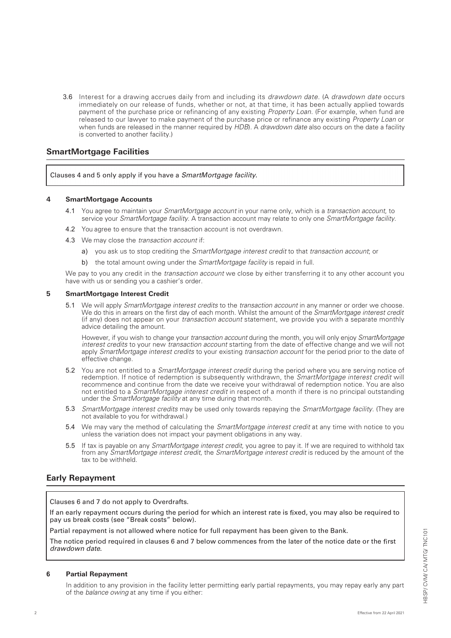3.6 Interest for a drawing accrues daily from and including its *drawdown date*. (A *drawdown date* occurs immediately on our release of funds, whether or not, at that time, it has been actually applied towards payment of the purchase price or refinancing of any existing *Property Loan*. (For example, when fund are released to our lawyer to make payment of the purchase price or refinance any existing *Property Loan* or when funds are released in the manner required by *HDB*). A *drawdown date* also occurs on the date a facility is converted to another facility.)

# **SmartMortgage Facilities**

Clauses 4 and 5 only apply if you have a *SmartMortgage facility*.

## **4 SmartMortgage Accounts**

- 4.1 You agree to maintain your *SmartMortgage account* in your name only, which is a *transaction account*, to service your *SmartMortgage facility*. A transaction account may relate to only one *SmartMortgage facility*.
- 4.2 You agree to ensure that the transaction account is not overdrawn.
- 4.3 We may close the *transaction account* if:
	- a) you ask us to stop crediting the *SmartMortgage interest credit* to that *transaction account*; or
	- b) the total amount owing under the *SmartMortgage facility* is repaid in full.

We pay to you any credit in the *transaction account* we close by either transferring it to any other account you have with us or sending you a cashier's order.

## **5 SmartMortgage Interest Credit**

5.1 We will apply *SmartMortgage interest credits* to the *transaction account* in any manner or order we choose. We do this in arrears on the first day of each month. Whilst the amount of the *SmartMortgage interest credit* (if any) does not appear on your *transaction account* statement, we provide you with a separate monthly advice detailing the amount.

However, if you wish to change your *transaction account* during the month, you will only enjoy *SmartMortgage interest credits* to your new *transaction account* starting from the date of effective change and we will not apply *SmartMortgage interest credits* to your existing *transaction account* for the period prior to the date of effective change.

- 5.2 You are not entitled to a *SmartMortgage interest credit* during the period where you are serving notice of redemption. If notice of redemption is subsequently withdrawn, the *SmartMortgage interest credit* will recommence and continue from the date we receive your withdrawal of redemption notice. You are also not entitled to a *SmartMortgage interest credit* in respect of a month if there is no principal outstanding under the *SmartMortgage facility* at any time during that month.
- 5.3 *SmartMortgage interest credits* may be used only towards repaying the *SmartMortgage facility*. (They are not available to you for withdrawal.)
- 5.4 We may vary the method of calculating the *SmartMortgage interest credit* at any time with notice to you unless the variation does not impact your payment obligations in any way.
- 5.5 If tax is payable on any *SmartMortgage interest credit*, you agree to pay it. If we are required to withhold tax from any *SmartMortgage interest credit*, the *SmartMortgage interest credit* is reduced by the amount of the tax to be withheld.

# **Early Repayment**

Clauses 6 and 7 do not apply to Overdrafts.

If an early repayment occurs during the period for which an interest rate is fixed, you may also be required to pay us break costs (see "Break costs" below).

Partial repayment is not allowed where notice for full repayment has been given to the Bank.

The notice period required in clauses 6 and 7 below commences from the later of the notice date or the first *drawdown date*.

## **6 Partial Repayment**

In addition to any provision in the facility letter permitting early partial repayments, you may repay early any part of the *balance owing* at any time if you either: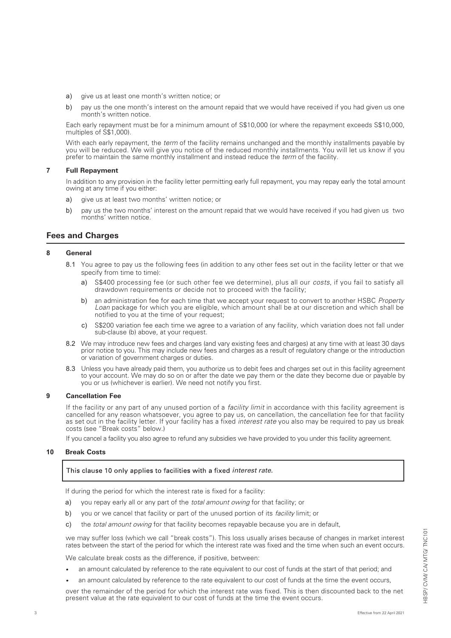- a) give us at least one month's written notice; or
- b) pay us the one month's interest on the amount repaid that we would have received if you had given us one month's written notice.

Each early repayment must be for a minimum amount of S\$10,000 (or where the repayment exceeds S\$10,000, multiples of S\$1,000).

With each early repayment, the *term* of the facility remains unchanged and the monthly installments payable by you will be reduced. We will give you notice of the reduced monthly installments. You will let us know if you prefer to maintain the same monthly installment and instead reduce the *term* of the facility.

## **7 Full Repayment**

In addition to any provision in the facility letter permitting early full repayment, you may repay early the total amount owing at any time if you either:

- a) give us at least two months' written notice; or
- b) pay us the two months' interest on the amount repaid that we would have received if you had given us two months' written notice.

# **Fees and Charges**

## **8 General**

- 8.1 You agree to pay us the following fees (in addition to any other fees set out in the facility letter or that we specify from time to time):
	- a) S\$400 processing fee (or such other fee we determine), plus all our *costs*, if you fail to satisfy all drawdown requirements or decide not to proceed with the facility;
	- b) an administration fee for each time that we accept your request to convert to another HSBC *Property Loan* package for which you are eligible, which amount shall be at our discretion and which shall be notified to you at the time of your request;
	- c) S\$200 variation fee each time we agree to a variation of any facility, which variation does not fall under sub-clause (b) above, at your request.
- 8.2 We may introduce new fees and charges (and vary existing fees and charges) at any time with at least 30 days prior notice to you. This may include new fees and charges as a result of regulatory change or the introduction or variation of government charges or duties.
- 8.3 Unless you have already paid them, you authorize us to debit fees and charges set out in this facility agreement to your account. We may do so on or after the date we pay them or the date they become due or payable by you or us (whichever is earlier). We need not notify you first.

## **9 Cancellation Fee**

If the facility or any part of any unused portion of a *facility limit* in accordance with this facility agreement is cancelled for any reason whatsoever, you agree to pay us, on cancellation, the cancellation fee for that facility as set out in the facility letter. If your facility has a fixed *interest rate* you also may be required to pay us break costs (see "Break costs" below.)

If you cancel a facility you also agree to refund any subsidies we have provided to you under this facility agreement.

## **10 Break Costs**

## This clause 10 only applies to facilities with a fixed *interest rate*.

If during the period for which the interest rate is fixed for a facility:

- a) vou repay early all or any part of the *total amount owing* for that facility; or
- b) you or we cancel that facility or part of the unused portion of its *facility* limit; or
- c) the total amount owing for that facility becomes repayable because you are in default,

we may suffer loss (which we call "break costs"). This loss usually arises because of changes in market interest rates between the start of the period for which the interest rate was fixed and the time when such an event occurs.

We calculate break costs as the difference, if positive, between:

- *•* an amount calculated by reference to the rate equivalent to our cost of funds at the start of that period; and
- *•* an amount calculated by reference to the rate equivalent to our cost of funds at the time the event occurs,

over the remainder of the period for which the interest rate was fixed. This is then discounted back to the net present value at the rate equivalent to our cost of funds at the time the event occurs.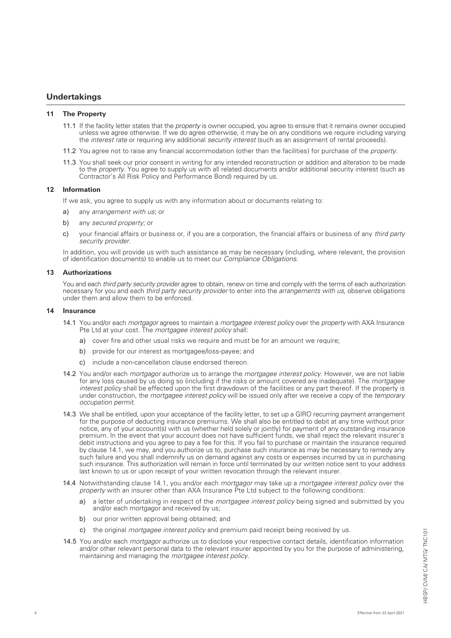# **Undertakings**

## **11 The Property**

- 11.1 If the facility letter states that the *property* is owner occupied, you agree to ensure that it remains owner occupied unless we agree otherwise. If we do agree otherwise, it may be on any conditions we require including varying the *interest rate* or requiring any additional *security interest* (such as an assignment of rental proceeds).
- 11.2 You agree not to raise any financial accommodation (other than the facilities) for purchase of the *property*.
- 11.3 You shall seek our prior consent in writing for any intended reconstruction or addition and alteration to be made to the *property*. You agree to supply us with all related documents and/or additional security interest (such as Contractor's All Risk Policy and Performance Bond) required by us.

## **12 Information**

If we ask, you agree to supply us with any information about or documents relating to:

- a) any *arrangement with us*; or
- b) any *secured property*; or
- c) your financial affairs or business or, if you are a corporation, the financial affairs or business of any *third party security provider*.

In addition, you will provide us with such assistance as may be necessary (including, where relevant, the provision of identification documents) to enable us to meet our *Compliance Obligations*.

### **13 Authorizations**

You and each *third party security provider* agree to obtain, renew on time and comply with the terms of each authorization necessary for you and each *third party security provider* to enter into the *arrangements with us*, observe obligations under them and allow them to be enforced.

### **14 Insurance**

- 14.1 You and/or each *mortgagor* agrees to maintain a *mortgagee interest policy* over the *property* with AXA Insurance Pte Ltd at your cost. The *mortgagee interest policy* shall:
	- a) cover fire and other usual risks we require and must be for an amount we require;
	- b) provide for our interest as mortgagee/loss-payee; and
	- c) include a non-cancellation clause endorsed thereon.
- 14.2 You and/or each *mortgagor* authorize us to arrange the *mortgagee interest policy*. However, we are not liable for any loss caused by us doing so (including if the risks or amount covered are inadequate). The *mortgagee interest policy* shall be effected upon the first drawdown of the facilities or any part thereof. If the property is under construction, the *mortgagee interest policy* will be issued only after we receive a copy of the *temporary occupation permit*.
- 14.3 We shall be entitled, upon your acceptance of the facility letter, to set up a GIRO recurring payment arrangement for the purpose of deducting insurance premiums. We shall also be entitled to debit at any time without prior notice, any of your account(s) with us (whether held solely or jointly) for payment of any outstanding insurance premium. In the event that your account does not have sufficient funds, we shall reject the relevant insurer's debit instructions and you agree to pay a fee for this. If you fail to purchase or maintain the insurance required by clause 14.1, we may, and you authorize us to, purchase such insurance as may be necessary to remedy any such failure and you shall indemnify us on demand against any costs or expenses incurred by us in purchasing such insurance. This authorization will remain in force until terminated by our written notice sent to your address last known to us or upon receipt of your written revocation through the relevant insurer.
- 14.4 Notwithstanding clause 14.1, you and/or each *mortgagor* may take up a *mortgagee interest policy* over the *property* with an insurer other than AXA Insurance Pte Ltd subject to the following conditions:
	- a) a letter of undertaking in respect of the *mortgagee interest policy* being signed and submitted by you and/or each mortgagor and received by us;
	- b) our prior written approval being obtained; and
	- c) the original *mortgagee interest policy* and premium paid receipt being received by us.
- 14.5 You and/or each *mortgagor* authorize us to disclose your respective contact details, identification information and/or other relevant personal data to the relevant insurer appointed by you for the purpose of administering, maintaining and managing the *mortgagee interest policy*.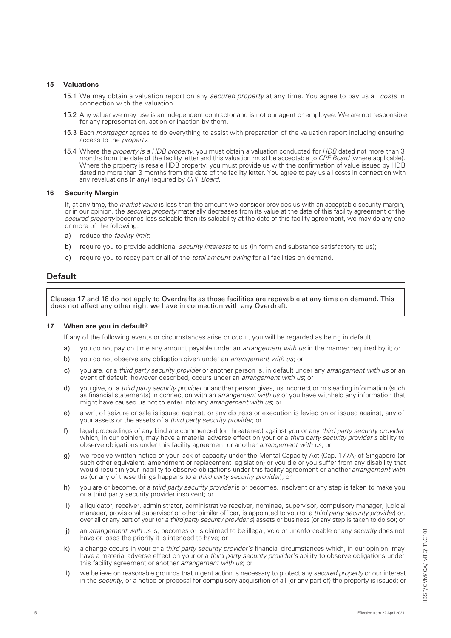## **15 Valuations**

- 15.1 We may obtain a valuation report on any *secured property* at any time. You agree to pay us all *costs* in connection with the valuation.
- 15.2 Any valuer we may use is an independent contractor and is not our agent or employee. We are not responsible for any representation, action or inaction by them.
- 15.3 Each *mortgagor* agrees to do everything to assist with preparation of the valuation report including ensuring access to the *property*.
- 15.4 Where the *property is a HDB property*, you must obtain a valuation conducted for *HDB* dated not more than 3 months from the date of the facility letter and this valuation must be acceptable to *CPF Board* (where applicable). Where the property is resale HDB property, you must provide us with the confirmation of value issued by HDB dated no more than 3 months from the date of the facility letter. You agree to pay us all costs in connection with any revaluations (if any) required by *CPF Board*.

### **16 Security Margin**

If, at any time, the *market value* is less than the amount we consider provides us with an acceptable security margin, or in our opinion, the *secured property* materially decreases from its value at the date of this facility agreement or the *secured property* becomes less saleable than its saleability at the date of this facility agreement, we may do any one or more of the following:

- a) reduce the facility limit;
- b) require you to provide additional *security interests* to us (in form and substance satisfactory to us);
- c) require you to repay part or all of the *total amount owing* for all facilities on demand.

## **Default**

5

 Clauses 17 and 18 do not apply to Overdrafts as those facilities are repayable at any time on demand. This does not affect any other right we have in connection with any Overdraft.

## **17 When are you in default?**

If any of the following events or circumstances arise or occur, you will be regarded as being in default:

- a) you do not pay on time any amount payable under an *arrangement with us* in the manner required by it; or
- b) you do not observe any obligation given under an *arrangement with us*; or
- c) you are, or a *third party security provider* or another person is, in default under any *arrangement with us* or an event of default, however described, occurs under an *arrangement with us*; or
- d) you give, or a *third party security provider* or another person gives, us incorrect or misleading information (such as financial statements) in connection with an *arrangement with us* or you have withheld any information that might have caused us not to enter into any *arrangement with us*; or
- e) a writ of seizure or sale is issued against, or any distress or execution is levied on or issued against, any of your assets or the assets of a *third party security provider*; or
- f) legal proceedings of any kind are commenced (or threatened) against you or any *third party security provider* which, in our opinion, may have a material adverse effect on your or a *third party security provider's* ability to observe obligations under this facility agreement or another *arrangement with us*; or
- g) we receive written notice of your lack of capacity under the Mental Capacity Act (Cap. 177A) of Singapore (or such other equivalent, amendment or replacement legislation) or you die or you suffer from any disability that would result in your inability to observe obligations under this facility agreement or another *arrangement with us* (or any of these things happens to a *third party security provider*); or
- h) you are or become, or a *third party security provider* is or becomes, insolvent or any step is taken to make you or a third party security provider insolvent; or
- i) a liquidator, receiver, administrator, administrative receiver, nominee, supervisor, compulsory manager, judicial manager, provisional supervisor or other similar officer, is appointed to you (or a *third party security provider*) or, over all or any part of your (or *a third party security provider's*) assets or business (or any step is taken to do so); or
- j) an *arrangement with us* is, becomes or is claimed to be illegal, void or unenforceable or any *security* does not have or loses the priority it is intended to have; or
- k) a change occurs in your or a *third party security provider's* financial circumstances which, in our opinion, may have a material adverse effect on your or a *third party security provider's* ability to observe obligations under this facility agreement or another *arrangement with us*; or
- l) we believe on reasonable grounds that urgent action is necessary to protect any *secured property* or our interest in the *security*, or a notice or proposal for compulsory acquisition of all (or any part of) the property is issued; or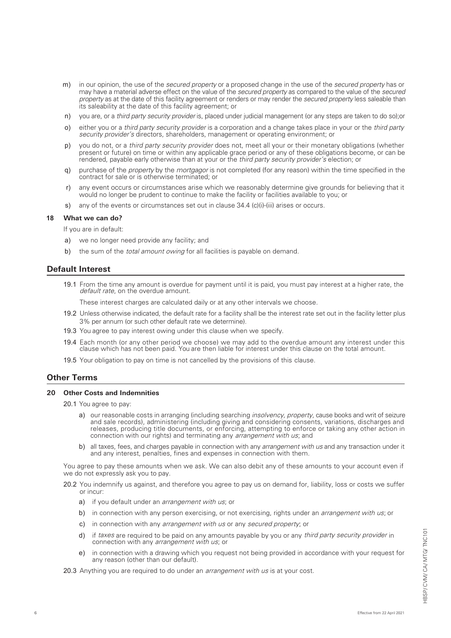- m) in our opinion, the use of the *secured property* or a proposed change in the use of the *secured property* has or may have a material adverse effect on the value of the *secured property* as compared to the value of the *secured property* as at the date of this facility agreement or renders or may render the *secured property* less saleable than its saleability at the date of this facility agreement; or
- n) you are, or a *third party security provider* is, placed under judicial management (or any steps are taken to do so);or
- o) either you or a *third party security provider* is a corporation and a change takes place in your or the *third party security provider's* directors, shareholders, management or operating environment; or
- p) you do not, or a *third party security provider* does not, meet all your or their monetary obligations (whether present or future) on time or within any applicable grace period or any of these obligations become, or can be rendered, payable early otherwise than at your or the *third party security provider's* election; or
- q) purchase of the *property* by the *mortgagor* is not completed (for any reason) within the time specified in the contract for sale or is otherwise terminated; or
- r) any event occurs or circumstances arise which we reasonably determine give grounds for believing that it would no longer be prudent to continue to make the facility or facilities available to you; or
- s) any of the events or circumstances set out in clause  $34.4$  (c)(i)-(iii) arises or occurs.

### **18 What we can do?**

If you are in default:

- a) we no longer need provide any facility; and
- b) the sum of the *total amount owing* for all facilities is payable on demand.

## **Default Interest**

19.1 From the time any amount is overdue for payment until it is paid, you must pay interest at a higher rate, the default rate, on the overdue amount.

These interest charges are calculated daily or at any other intervals we choose.

- 19.2 Unless otherwise indicated, the default rate for a facility shall be the interest rate set out in the facility letter plus 3% per annum (or such other default rate we determine).
- 19.3 You agree to pay interest owing under this clause when we specify.
- 19.4 Each month (or any other period we choose) we may add to the overdue amount any interest under this clause which has not been paid. You are then liable for interest under this clause on the total amount.
- 19.5 Your obligation to pay on time is not cancelled by the provisions of this clause.

# **Other Terms**

### **20 Other Costs and Indemnities**

20.1 You agree to pay:

- a) our reasonable costs in arranging (including searching *insolvency, property,* cause books and writ of seizure and sale records), administering (including giving and considering consents, variations, discharges and releases, producing title documents, or enforcing, attempting to enforce or taking any other action in connection with our rights) and terminating any *arrangement with us*; and
- b) all taxes, fees, and charges payable in connection with any *arrangement with us* and any transaction under it and any interest, penalties, fines and expenses in connection with them.

You agree to pay these amounts when we ask. We can also debit any of these amounts to your account even if we do not expressly ask you to pay.

20.2 You indemnify us against, and therefore you agree to pay us on demand for, liability, loss or costs we suffer or incur:

- a) if you default under an *arrangement with us*; or
- b) in connection with any person exercising, or not exercising, rights under an *arrangement with us;* or
- c) in connection with any *arrangement with us* or any *secured property*; or
- d) if taxes are required to be paid on any amounts payable by you or any third party security provider in connection with any *arrangement with us*; or
- e) in connection with a drawing which you request not being provided in accordance with your request for any reason (other than our default).

20.3 Anything you are required to do under an *arrangement with us* is at your cost.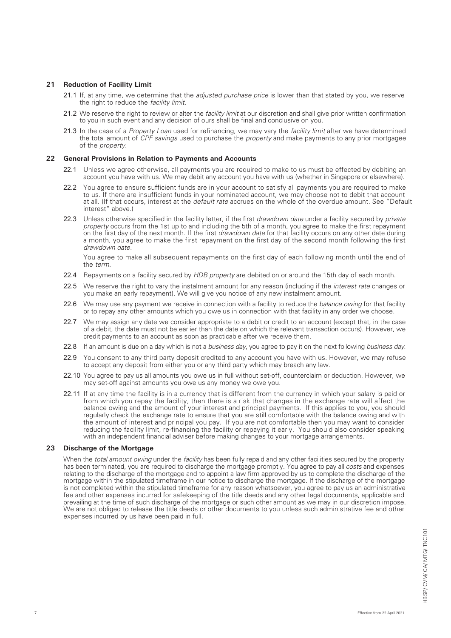## **21 Reduction of Facility Limit**

- 21.1 If, at any time, we determine that the *adjusted purchase price* is lower than that stated by you, we reserve the right to reduce the *facility limit*.
- 21.2 We reserve the right to review or alter the *facility limit* at our discretion and shall give prior written confirmation to you in such event and any decision of ours shall be final and conclusive on you.
- 21.3 In the case of a *Property Loan* used for refinancing, we may vary the *facility limit* after we have determined the total amount of *CPF savings* used to purchase the *property* and make payments to any prior mortgagee of the *property*.

## **22 General Provisions in Relation to Payments and Accounts**

- 22.1 Unless we agree otherwise, all payments you are required to make to us must be effected by debiting an account you have with us. We may debit any account you have with us (whether in Singapore or elsewhere).
- 22.2 You agree to ensure sufficient funds are in your account to satisfy all payments you are required to make to us. If there are insufficient funds in your nominated account, we may choose not to debit that account at all. (If that occurs, interest at the *default rate* accrues on the whole of the overdue amount. See "Default interest" above.)
- 22.3 Unless otherwise specified in the facility letter, if the first *drawdown date* under a facility secured by *private property* occurs from the 1st up to and including the 5th of a month, you agree to make the first repayment on the first day of the next month. If the first *drawdown date* for that facility occurs on any other date during a month, you agree to make the first repayment on the first day of the second month following the first *drawdown date.*

You agree to make all subsequent repayments on the first day of each following month until the end of the *term.*

- 22.4 Repayments on a facility secured by *HDB property* are debited on or around the 15th day of each month.
- 22.5 We reserve the right to vary the instalment amount for any reason (including if the *interest rate* changes or you make an early repayment). We will give you notice of any new instalment amount.
- 22.6 We may use any payment we receive in connection with a facility to reduce the *balance owing* for that facility or to repay any other amounts which you owe us in connection with that facility in any order we choose.
- 22.7 We may assign any date we consider appropriate to a debit or credit to an account (except that, in the case of a debit, the date must not be earlier than the date on which the relevant transaction occurs). However, we credit payments to an account as soon as practicable after we receive them.
- 22.8 If an amount is due on a day which is not a *business day*, you agree to pay it on the next following *business day*.
- 22.9 You consent to any third party deposit credited to any account you have with us. However, we may refuse to accept any deposit from either you or any third party which may breach any law.
- 22.10 You agree to pay us all amounts you owe us in full without set-off, counterclaim or deduction. However, we may set-off against amounts you owe us any money we owe you.
- 22.11 If at any time the facility is in a currency that is different from the currency in which your salary is paid or from which you repay the facility, then there is a risk that changes in the exchange rate will affect the balance owing and the amount of your interest and principal payments. If this applies to you, you should regularly check the exchange rate to ensure that you are still comfortable with the balance owing and with the amount of interest and principal you pay. If you are not comfortable then you may want to consider reducing the facility limit, re-financing the facility or repaying it early. You should also consider speaking with an independent financial adviser before making changes to your mortgage arrangements.

## **23 Discharge of the Mortgage**

When the *total amount owing* under the *facility* has been fully repaid and any other facilities secured by the property has been terminated, you are required to discharge the mortgage promptly. You agree to pay all *costs* and expenses relating to the discharge of the mortgage and to appoint a law firm approved by us to complete the discharge of the mortgage within the stipulated timeframe in our notice to discharge the mortgage. If the discharge of the mortgage is not completed within the stipulated timeframe for any reason whatsoever, you agree to pay us an administrative fee and other expenses incurred for safekeeping of the title deeds and any other legal documents, applicable and prevailing at the time of such discharge of the mortgage or such other amount as we may in our discretion impose. We are not obliged to release the title deeds or other documents to you unless such administrative fee and other expenses incurred by us have been paid in full.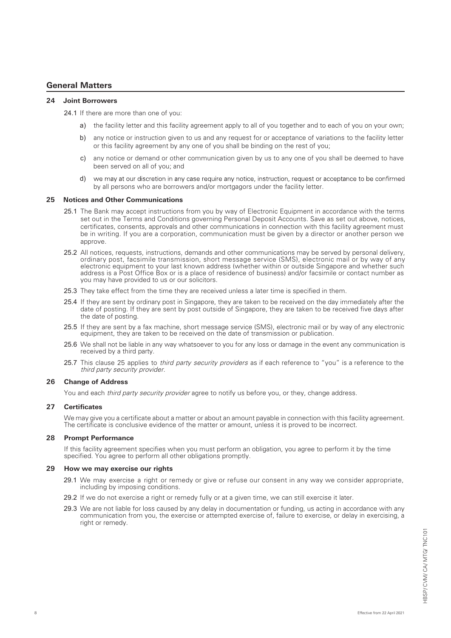# **General Matters**

## **24 Joint Borrowers**

24.1 If there are more than one of you:

- a) the facility letter and this facility agreement apply to all of you together and to each of you on your own;
- b) any notice or instruction given to us and any request for or acceptance of variations to the facility letter or this facility agreement by any one of you shall be binding on the rest of you;
- c) any notice or demand or other communication given by us to any one of you shall be deemed to have been served on all of you; and
- we may at our discretion in any case require any notice, instruction, request or acceptance to be confirmed d) by all persons who are borrowers and/or mortgagors under the facility letter.

## **25 Notices and Other Communications**

- 25.1 The Bank may accept instructions from you by way of Electronic Equipment in accordance with the terms set out in the Terms and Conditions governing Personal Deposit Accounts. Save as set out above, notices, certificates, consents, approvals and other communications in connection with this facility agreement must be in writing. If you are a corporation, communication must be given by a director or another person we approve.
- 25.2 All notices, requests, instructions, demands and other communications may be served by personal delivery, ordinary post, facsimile transmission, short message service (SMS), electronic mail or by way of any electronic equipment to your last known address (whether within or outside Singapore and whether such address is a Post Office Box or is a place of residence of business) and/or facsimile or contact number as you may have provided to us or our solicitors.
- 25.3 They take effect from the time they are received unless a later time is specified in them.
- 25.4 If they are sent by ordinary post in Singapore, they are taken to be received on the day immediately after the date of posting. If they are sent by post outside of Singapore, they are taken to be received five days after the date of posting.
- 25.5 If they are sent by a fax machine, short message service (SMS), electronic mail or by way of any electronic equipment, they are taken to be received on the date of transmission or publication.
- 25.6 We shall not be liable in any way whatsoever to you for any loss or damage in the event any communication is received by a third party.
- 25.7 This clause 25 applies to third party security providers as if each reference to "you" is a reference to the third party security provider.

## **26 Change of Address**

You and each third party security provider agree to notify us before you, or they, change address.

## **27 Certificates**

We may give you a certificate about a matter or about an amount payable in connection with this facility agreement. The certificate is conclusive evidence of the matter or amount, unless it is proved to be incorrect.

## **28 Prompt Performance**

If this facility agreement specifies when you must perform an obligation, you agree to perform it by the time specified. You agree to perform all other obligations promptly.

## **29 How we may exercise our rights**

- 29.1 We may exercise a right or remedy or give or refuse our consent in any way we consider appropriate, including by imposing conditions.
- 29.2 If we do not exercise a right or remedy fully or at a given time, we can still exercise it later.
- 29.3 We are not liable for loss caused by any delay in documentation or funding, us acting in accordance with any communication from you, the exercise or attempted exercise of, failure to exercise, or delay in exercising, a right or remedy.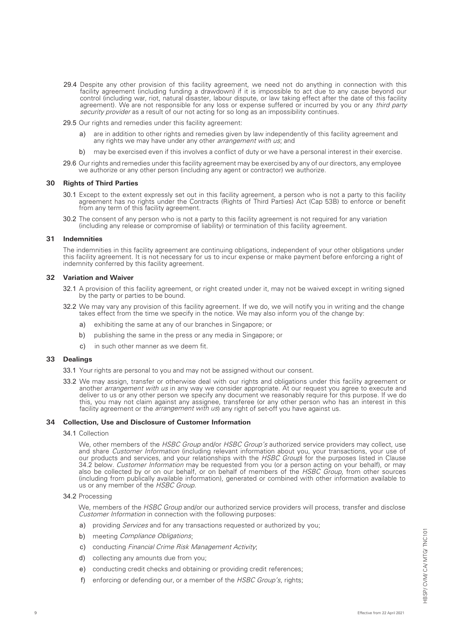- 29.4 Despite any other provision of this facility agreement, we need not do anything in connection with this facility agreement (including funding a drawdown) if it is impossible to act due to any cause beyond our control (including war, riot, natural disaster, labour dispute, or law taking effect after the date of this facility agreement). We are not responsible for any loss or expense suffered or incurred by you or any third party security provider as a result of our not acting for so long as an impossibility continues.
- 29.5 Our rights and remedies under this facility agreement:
	- a) are in addition to other rights and remedies given by law independently of this facility agreement and any rights we may have under any other *arrangement with us*; and
	- b) may be exercised even if this involves a conflict of duty or we have a personal interest in their exercise.
- 29.6 Our rights and remedies under this facility agreement may be exercised by any of our directors, any employee we authorize or any other person (including any agent or contractor) we authorize.

### **30 Rights of Third Parties**

- 30.1 Except to the extent expressly set out in this facility agreement, a person who is not a party to this facility agreement has no rights under the Contracts (Rights of Third Parties) Act (Cap 53B) to enforce or benefit from any term of this facility agreement.
- 30.2 The consent of any person who is not a party to this facility agreement is not required for any variation (including any release or compromise of liability) or termination of this facility agreement.

## **31 Indemnities**

The indemnities in this facility agreement are continuing obligations, independent of your other obligations under this facility agreement. It is not necessary for us to incur expense or make payment before enforcing a right of indemnity conferred by this facility agreement.

## **32 Variation and Waiver**

- 32.1 A provision of this facility agreement, or right created under it, may not be waived except in writing signed by the party or parties to be bound.
- 32.2 We may vary any provision of this facility agreement. If we do, we will notify you in writing and the change takes effect from the time we specify in the notice. We may also inform you of the change by:
	- a) exhibiting the same at any of our branches in Singapore; or
	- b) publishing the same in the press or any media in Singapore; or
	- c) in such other manner as we deem fit.

#### **33 Dealings**

- 33.1 Your rights are personal to you and may not be assigned without our consent.
- 33.2 We may assign, transfer or otherwise deal with our rights and obligations under this facility agreement or another *arrangement with us* in any way we consider appropriate. At our request you agree to execute and deliver to us or any other person we specify any document we reasonably require for this purpose. If we do this, you may not claim against any assignee, transferee (or any other person who has an interest in this facility agreement or the *arrangement with us*) any right of set-off you have against us.

### **34 Collection, Use and Disclosure of Customer Information**

#### 34.1 Collection

We, other members of the HSBC Group and/or HSBC Group's authorized service providers may collect, use and share Customer Information (including relevant information about you, your transactions, your use of our products and services, and your relationships with the HSBC Group) for the purposes listed in Clause 34.2 below. Customer Information may be requested from you (or a person acting on your behalf), or may also be collected by or on our behalf, or on behalf of members of the HSBC Group, from other sources (including from publically available information), generated or combined with other information available to us or any member of the HSBC Group.

### 34.2 Processing

9

We, members of the *HSBC Group* and/or our authorized service providers will process, transfer and disclose Customer Information in connection with the following purposes:

- a) providing *Services* and for any transactions requested or authorized by you;
- b) meeting *Compliance Obligations*:
- c) conducting Financial Crime Risk Management Activity;
- d) collecting any amounts due from you;
- e) conducting credit checks and obtaining or providing credit references;
- f) enforcing or defending our, or a member of the HSBC Group's, rights;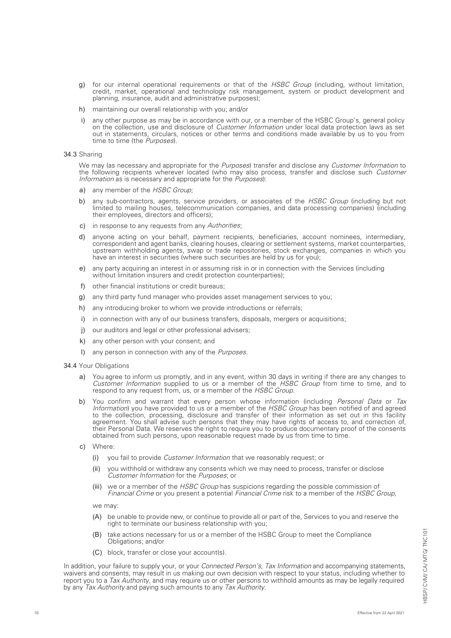- g) for our internal operational requirements or that of the HSBC Group (including, without limitation, credit, market, operational and technology risk management, system or product development and planning, insurance, audit and administrative purposes);
- h) maintaining our overall relationship with you; and/or
- i) any other purpose as may be in accordance with our, or a member of the HSBC Group's, general policy on the collection, use and disclosure of *Customer Information* under local data protection laws as set out in statements, circulars, notices or other terms and conditions made available by us to you from time to time (the Purposes).

#### 34.3 Sharing

We may (as necessary and appropriate for the Purposes) transfer and disclose any Customer Information to the following recipients wherever located (who may also process, transfer and disclose such Customer Information as is necessary and appropriate for the *Purposes*):

- a) any member of the HSBC Group:
- b) any sub-contractors, agents, service providers, or associates of the HSBC Group (including but not limited to mailing houses, telecommunication companies, and data processing companies) (including their employees, directors and officers);
- c) in response to any requests from any Authorities:
- d) anyone acting on your behalf, payment recipients, beneficiaries, account nominees, intermediary, correspondent and agent banks, clearing houses, clearing or settlement systems, market counterparties, upstream withholding agents, swap or trade repositories, stock exchanges, companies in which you have an interest in securities (where such securities are held by us for you);
- e) any party acquiring an interest in or assuming risk in or in connection with the Services (including without limitation insurers and credit protection counterparties);
- f) other financial institutions or credit bureaus;
- g) any third party fund manager who provides asset management services to you;
- h) any introducing broker to whom we provide introductions or referrals;
- i) in connection with any of our business transfers, disposals, mergers or acquisitions;
- j) our auditors and legal or other professional advisers;
- k) any other person with your consent; and
- l) any person in connection with any of the Purposes.

#### 34.4 Your Obligations

- a) You agree to inform us promptly, and in any event, within 30 days in writing if there are any changes to Customer Information supplied to us or a member of the HSBC Group from time to time, and to respond to any request from, us, or a member of the HSBC Group.
- b) You confirm and warrant that every person whose information (including Personal Data or Tax Information) you have provided to us or a member of the HSBC Group has been notified of and agreed to the collection, processing, disclosure and transfer of their information as set out in this facility agreement. You shall advise such persons that they may have rights of access to, and correction of, their Personal Data. We reserves the right to require you to produce documentary proof of the consents obtained from such persons, upon reasonable request made by us from time to time.
- c) Where:
	- (i) you fail to provide Customer Information that we reasonably request; or
	- (ii) you withhold or withdraw any consents which we may need to process, transfer or disclose Customer Information for the Purposes; or
	- (iii) we or a member of the *HSBC Group* has suspicions regarding the possible commission of Financial Crime or you present a potential Financial Crime risk to a member of the HSBC Group,

we may:

- (A) be unable to provide new, or continue to provide all or part of the, Services to you and reserve the right to terminate our business relationship with you;
- (B) take actions necessary for us or a member of the HSBC Group to meet the Compliance Obligations; and/or
- (C) block, transfer or close your account(s).

In addition, your failure to supply your, or your *Connected Person's, Tax Information* and accompanying statements, waivers and consents, may result in us making our own decision with respect to your status, including whether to report you to a *Tax Authority*, and may require us or other persons to withhold amounts as may be legally required by any *Tax Authority* and paying such amounts to any *Tax Authority*.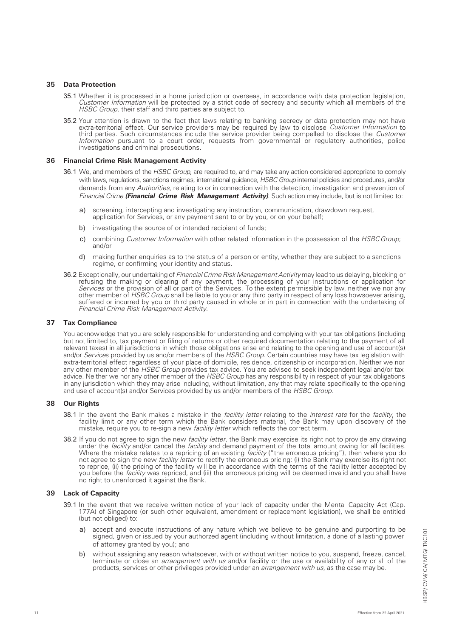## **35 Data Protection**

- 35.1 Whether it is processed in a home jurisdiction or overseas, in accordance with data protection legislation, Customer Information will be protected by a strict code of secrecy and security which all members of the HSBC Group, their staff and third parties are subject to.
- 35.2 Your attention is drawn to the fact that laws relating to banking secrecy or data protection may not have extra-territorial effect. Our service providers may be required by law to disclose Customer Information to third parties. Such circumstances include the service provider being compelled to disclose the Customer Information pursuant to a court order, requests from governmental or regulatory authorities, police investigations and criminal prosecutions.

### **36 Financial Crime Risk Management Activity**

- 36.1 We, and members of the *HSBC Group*, are required to, and may take any action considered appropriate to comply with laws, regulations, sanctions regimes, international guidance, *HSBC Group* internal policies and procedures, and/or demands from any *Authorities*, relating to or in connection with the detection, investigation and prevention of *Financial Crime (Financial Crime Risk Management Activity)*. Such action may include, but is not limited to:
	- a) screening, intercepting and investigating any instruction, communication, drawdown request, application for Services, or any payment sent to or by you, or on your behalf;
	- b) investigating the source of or intended recipient of funds;
	- c) combining *Customer Information* with other related information in the possession of the HSBC Group; and/or
	- d) making further enquiries as to the status of a person or entity, whether they are subject to a sanctions regime, or confirming your identity and status.
- 36.2 Exceptionally, our undertaking of Financial Crime Risk Management Activity may lead to us delaying, blocking or refusing the making or clearing of any payment, the processing of your instructions or application for Services or the provision of all or part of the Services. To the extent permissible by law, neither we nor any other member of HSBC Group shall be liable to you or any third party in respect of any loss howsoever arising, suffered or incurred by you or third party caused in whole or in part in connection with the undertaking of Financial Crime Risk Management Activity.

## **37 Tax Compliance**

You acknowledge that you are solely responsible for understanding and complying with your tax obligations (including but not limited to, tax payment or filing of returns or other required documentation relating to the payment of all relevant taxes) in all jurisdictions in which those obligations arise and relating to the opening and use of account(s) and/or *Service*s provided by us and/or members of the *HSBC Group*. Certain countries may have tax legislation with extra-territorial effect regardless of your place of domicile, residence, citizenship or incorporation. Neither we nor any other member of the *HSBC Group* provides tax advice. You are advised to seek independent legal and/or tax advice. Neither we nor any other member of the *HSBC Group* has any responsibility in respect of your tax obligations in any jurisdiction which they may arise including, without limitation, any that may relate specifically to the opening and use of account(s) and/or Services provided by us and/or members of the *HSBC Group*.

## **38 Our Rights**

- 38.1 In the event the Bank makes a mistake in the facility letter relating to the interest rate for the facility, the facility limit or any other term which the Bank considers material, the Bank may upon discovery of the mistake, require you to re-sign a new *facility letter* which reflects the correct term.
- 38.2 If you do not agree to sign the new facility letter, the Bank may exercise its right not to provide any drawing under the facility and/or cancel the facility and demand payment of the total amount owing for all facilities. Where the mistake relates to a repricing of an existing *facility* ("the erroneous pricing"), then where you do not agree to sign the new facility letter to rectify the erroneous pricing: (i) the Bank may exercise its right not to reprice, (ii) the pricing of the facility will be in accordance with the terms of the facility letter accepted by you before the *facility* was repriced, and (iii) the erroneous pricing will be deemed invalid and you shall have no right to unenforced it against the Bank.

## **39 Lack of Capacity**

- 39.1 In the event that we receive written notice of your lack of capacity under the Mental Capacity Act (Cap. 177A) of Singapore (or such other equivalent, amendment or replacement legislation), we shall be entitled (but not obliged) to:
	- accept and execute instructions of any nature which we believe to be genuine and purporting to be signed, given or issued by your authorzed agent (including without limitation, a done of a lasting power of attorney granted by you); and
	- b) without assigning any reason whatsoever, with or without written notice to you, suspend, freeze, cancel, terminate or close an *arrangement with us* and/or facility or the use or availability of any or all of the products, services or other privileges provided under an *arrangement with us*, as the case may be.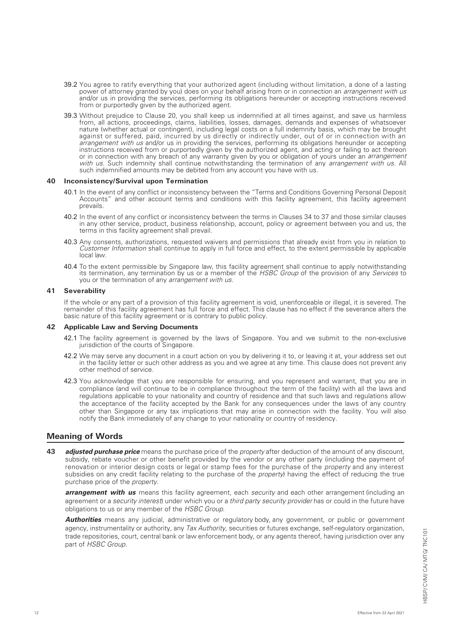- 39.2 You agree to ratify everything that your authorized agent (including without limitation, a done of a lasting power of attorney granted by you) does on your behalf arising from or in connection an *arrangement with us* and/or us in providing the services, performing its obligations hereunder or accepting instructions received from or purportedly given by the authorized agent.
- 39.3 Without prejudice to Clause 20, you shall keep us indemnified at all times against, and save us harmless from, all actions, proceedings, claims, liabilities, losses, damages, demands and expenses of whatsoever nature (whether actual or contingent), including legal costs on a full indemnity basis, which may be brought against or suffered, paid, incurred by us directly or indirectly under, out of or in connection with an arrangement with us and/or us in providing the services, performing its obligations hereunder or accepting instructions received from or purportedly given by the authorized agent, and acting or failing to act thereon or in connection with any breach of any warranty given by you or obligation of yours under an *arrangement* with us. Such indemnity shall continue notwithstanding the termination of any arrangement with us. All such indemnified amounts may be debited from any account you have with us.

#### **40 Inconsistency/Survival upon Termination**

- 40.1 In the event of any conflict or inconsistency between the "Terms and Conditions Governing Personal Deposit Accounts" and other account terms and conditions with this facility agreement, this facility agreement prevails.
- 40.2 In the event of any conflict or inconsistency between the terms in Clauses 34 to 37 and those similar clauses in any other service, product, business relationship, account, policy or agreement between you and us, the terms in this facility agreement shall prevail.
- 40.3 Any consents, authorizations, requested waivers and permissions that already exist from you in relation to Customer Information shall continue to apply in full force and effect, to the extent permissible by applicable local law.
- 40.4 To the extent permissible by Singapore law, this facility agreement shall continue to apply notwithstanding its termination, any termination by us or a member of the HSBC Group of the provision of any Services to you or the termination of any *arrangement with us*.

## **41 Severability**

If the whole or any part of a provision of this facility agreement is void, unenforceable or illegal, it is severed. The remainder of this facility agreement has full force and effect. This clause has no effect if the severance alters the basic nature of this facility agreement or is contrary to public policy.

### **42 Applicable Law and Serving Documents**

- 42.1 The facility agreement is governed by the laws of Singapore. You and we submit to the non-exclusive jurisdiction of the courts of Singapore.
- 42.2 We may serve any document in a court action on you by delivering it to, or leaving it at, your address set out in the facility letter or such other address as you and we agree at any time. This clause does not prevent any other method of service.
- 42.3 You acknowledge that you are responsible for ensuring, and you represent and warrant, that you are in compliance (and will continue to be in compliance throughout the term of the facility) with all the laws and regulations applicable to your nationality and country of residence and that such laws and regulations allow the acceptance of the facility accepted by the Bank for any consequences under the laws of any country other than Singapore or any tax implications that may arise in connection with the facility. You will also notify the Bank immediately of any change to your nationality or country of residency.

## **Meaning of Words**

**43** *adjusted purchase price* means the purchase price of the *property* after deduction of the amount of any discount, subsidy, rebate voucher or other benefit provided by the vendor or any other party (including the payment of renovation or interior design costs or legal or stamp fees for the purchase of the *property* and any interest subsidies on any credit facility relating to the purchase of the *property*) having the effect of reducing the true purchase price of the *property*.

*arrangement with us* means this facility agreement, each *security* and each other arrangement (including an agreement or a *security interest*) under which you or a *third party security provider* has or could in the future have obligations to us or any member of the *HSBC Group*.

*Authorities* means any judicial, administrative or regulatory body, any government, or public or government agency, instrumentality or authority, any *Tax Authority*, securities or futures exchange, self-regulatory organization, trade repositories, court, central bank or law enforcement body, or any agents thereof, having jurisdiction over any part of *HSBC Group*.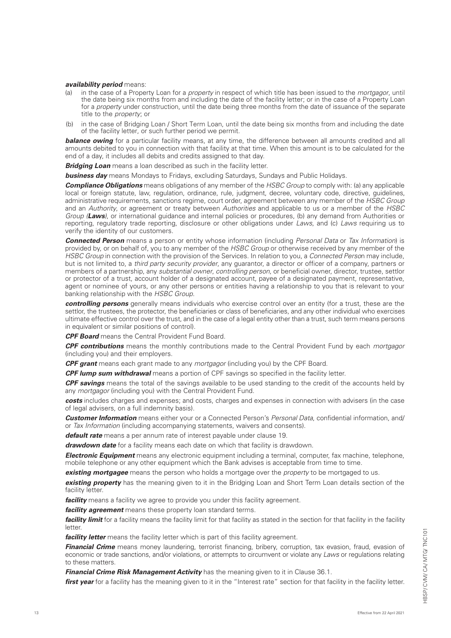### *availability period* means:

- (a) in the case of a Property Loan for a *property* in respect of which title has been issued to the *mortgagor*, until the date being six months from and including the date of the facility letter; or in the case of a Property Loan for a *property* under construction, until the date being three months from the date of issuance of the separate title to the *property*; or
- (b) in the case of Bridging Loan / Short Term Loan, until the date being six months from and including the date of the facility letter, or such further period we permit.

**balance owing** for a particular facility means, at any time, the difference between all amounts credited and all amounts debited to you in connection with that facility at that time. When this amount is to be calculated for the end of a day, it includes all debits and credits assigned to that day.

*Bridging Loan* means a loan described as such in the facility letter.

**business day** means Mondays to Fridays, excluding Saturdays, Sundays and Public Holidays.

*Compliance Obligations* means obligations of any member of the *HSBC Group* to comply with: (a) any applicable local or foreign statute, law, regulation, ordinance, rule, judgment, decree, voluntary code, directive, guidelines, administrative requirements, sanctions regime, court order, agreement between any member of the *HSBC Group* and an *Authority*, or agreement or treaty between *Authorities* and applicable to us or a member of the *HSBC Group* (Laws), or international guidance and internal policies or procedures, (b) any demand from Authorities or reporting, regulatory trade reporting, disclosure or other obligations under *Laws*, and (c) *Laws* requiring us to verify the identity of our customers.

*Connected Person* means a person or entity whose information (including *Personal Data* or *Tax Information*) is provided by, or on behalf of, you to any member of the *HSBC Group* or otherwise received by any member of the *HSBC Group* in connection with the provision of the Services. In relation to you, a *Connected Perso*n may include, but is not limited to, a *third party security provider*, any guarantor, a director or officer of a company, partners or members of a partnership, any *substantial owner*, *controlling person*, or beneficial owner, director, trustee, settlor or protector of a trust, account holder of a designated account, payee of a designated payment, representative, agent or nominee of yours, or any other persons or entities having a relationship to you that is relevant to your banking relationship with the *HSBC Group*.

*controlling persons* generally means individuals who exercise control over an entity (for a trust, these are the settlor, the trustees, the protector, the beneficiaries or class of beneficiaries, and any other individual who exercises ultimate effective control over the trust, and in the case of a legal entity other than a trust, such term means persons in equivalent or similar positions of control).

*CPF Board* means the Central Provident Fund Board.

*CPF contributions* means the monthly contributions made to the Central Provident Fund by each *mortgagor* (including you) and their employers.

*CPF grant* means each grant made to any *mortgagor* (including you) by the CPF Board.

*CPF lump sum withdrawal* means a portion of CPF savings so specified in the facility letter.

*CPF savings* means the total of the savings available to be used standing to the credit of the accounts held by any *mortgagor* (including you) with the Central Provident Fund.

*costs* includes charges and expenses; and costs, charges and expenses in connection with advisers (in the case of legal advisers, on a full indemnity basis).

*Customer Information* means either your or a Connected Person's *Personal Data*, confidential information, and/ or *Tax Information* (including accompanying statements, waivers and consents).

*default rate* means a per annum rate of interest payable under clause 19.

*drawdown date* for a facility means each date on which that facility is drawdown.

*Electronic Equipment* means any electronic equipment including a terminal, computer, fax machine, telephone, mobile telephone or any other equipment which the Bank advises is acceptable from time to time.

*existing mortgagee* means the person who holds a mortgage over the *property* to be mortgaged to us.

**existing property** has the meaning given to it in the Bridging Loan and Short Term Loan details section of the facility letter.

*facility* means a facility we agree to provide you under this facility agreement.

*facility agreement* means these property loan standard terms.

**facility limit** for a facility means the facility limit for that facility as stated in the section for that facility in the facility letter.

**facility letter** means the facility letter which is part of this facility agreement.

*Financial Crime* means money laundering, terrorist financing, bribery, corruption, tax evasion, fraud, evasion of economic or trade sanctions, and/or violations, or attempts to circumvent or violate any *Laws* or regulations relating to these matters.

*Financial Crime Risk Management Activity* has the meaning given to it in Clause 36.1.

*first year* for a facility has the meaning given to it in the "Interest rate" section for that facility in the facility letter.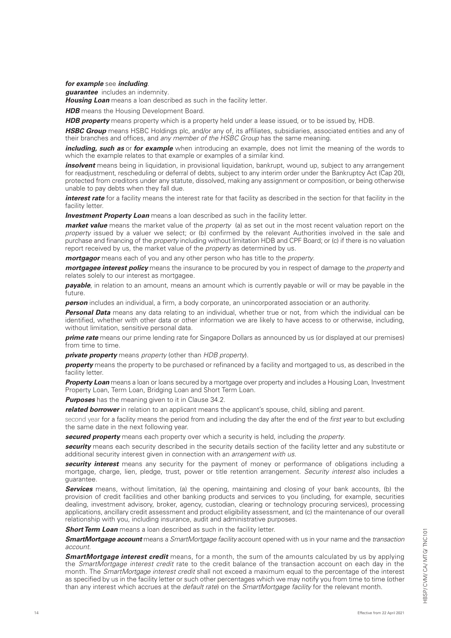## *for example* see *including*.

*guarantee* includes an indemnity. *Housing Loan* means a loan described as such in the facility letter.

**HDB** means the Housing Development Board.

*HDB property* means property which is a property held under a lease issued, or to be issued by, HDB.

*HSBC Group* means HSBC Holdings plc, and/or any of, its affiliates, subsidiaries, associated entities and any of their branches and offices, and *any member of the HSBC Group* has the same meaning.

*including, such as* or *for example* when introducing an example, does not limit the meaning of the words to which the example relates to that example or examples of a similar kind.

*insolvent* means being in liquidation, in provisional liquidation, bankrupt, wound up, subject to any arrangement for readjustment, rescheduling or deferral of debts, subject to any interim order under the Bankruptcy Act (Cap 20), protected from creditors under any statute, dissolved, making any assignment or composition, or being otherwise unable to pay debts when they fall due.

*interest rate* for a facility means the interest rate for that facility as described in the section for that facility in the facility letter.

**Investment Property Loan** means a loan described as such in the facility letter.

*market value* means the market value of the *property* (a) as set out in the most recent valuation report on the *property* issued by a valuer we select; or (b) confirmed by the relevant Authorities involved in the sale and purchase and financing of the *property* including without limitation HDB and CPF Board; or (c) if there is no valuation report received by us, the market value of the *property* as determined by us.

*mortgagor* means each of you and any other person who has title to the *property*.

*mortgagee interest policy* means the insurance to be procured by you in respect of damage to the *property* and relates solely to our interest as mortgagee.

*payable*, in relation to an amount, means an amount which is currently payable or will or may be payable in the future.

**person** includes an individual, a firm, a body corporate, an unincorporated association or an authority.

*Personal Data* means any data relating to an individual, whether true or not, from which the individual can be identified, whether with other data or other information we are likely to have access to or otherwise, including, without limitation, sensitive personal data.

*prime rate* means our prime lending rate for Singapore Dollars as announced by us (or displayed at our premises) from time to time.

*private property* means *property* (other than *HDB property*).

*property* means the property to be purchased or refinanced by a facility and mortgaged to us, as described in the facility letter.

*Property Loan* means a loan or loans secured by a mortgage over property and includes a Housing Loan, Investment Property Loan, Term Loan, Bridging Loan and Short Term Loan.

**Purposes** has the meaning given to it in Clause 34.2.

**related borrower** in relation to an applicant means the applicant's spouse, child, sibling and parent.

second year for a facility means the period from and including the day after the end of the *first year* to but excluding the same date in the next following year.

*secured property* means each property over which a security is held, including the *property*.

*security* means each security described in the security details section of the facility letter and any substitute or additional security interest given in connection with an *arrangement with us*.

*security interest* means any security for the payment of money or performance of obligations including a mortgage, charge, lien, pledge, trust, power or title retention arrangement. *Security interest* also includes a guarantee.

**Services** means, without limitation, (a) the opening, maintaining and closing of your bank accounts, (b) the provision of credit facilities and other banking products and services to you (including, for example, securities dealing, investment advisory, broker, agency, custodian, clearing or technology procuring services), processing applications, ancillary credit assessment and product eligibility assessment, and (c) the maintenance of our overall relationship with you, including insurance, audit and administrative purposes.

**Short Term Loan** means a loan described as such in the facility letter.

*SmartMortgage account* means a *SmartMortgage facility* account opened with us in your name and the *transaction account*.

*SmartMortgage interest credit* means, for a month, the sum of the amounts calculated by us by applying the *SmartMortgage interest credit* rate to the credit balance of the transaction account on each day in the month. The *SmartMortgage interest credit* shall not exceed a maximum equal to the percentage of the interest as specified by us in the facility letter or such other percentages which we may notify you from time to time (other than any interest which accrues at the *default rate*) on the *SmartMortgage facility* for the relevant month.